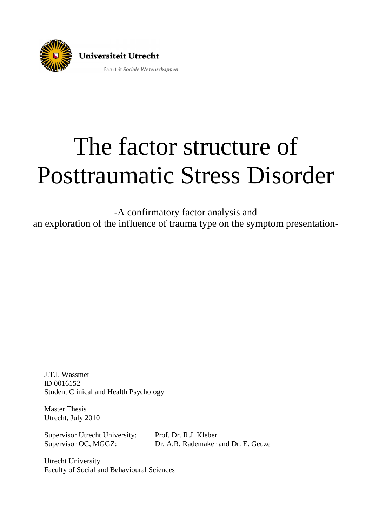

# The factor structure of Posttraumatic Stress Disorder

-A confirmatory factor analysis and an exploration of the influence of trauma type on the symptom presentation-

J.T.I. Wassmer ID 0016152 Student Clinical and Health Psychology

Master Thesis Utrecht, July 2010

Supervisor Utrecht University: Prof. Dr. R.J. Kleber

Supervisor OC, MGGZ: Dr. A.R. Rademaker and Dr. E. Geuze

Utrecht University Faculty of Social and Behavioural Sciences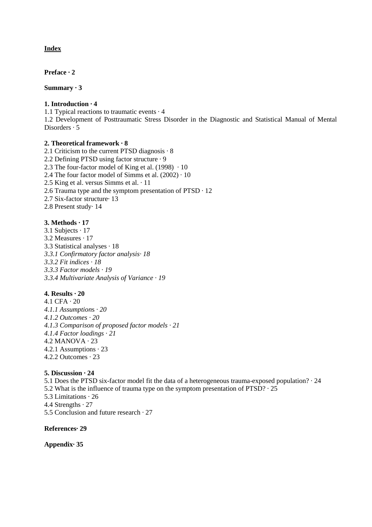## **Index**

**Preface · 2** 

#### **Summary · 3**

## **1. Introduction · 4**

1.1 Typical reactions to traumatic events · 4

1.2 Development of Posttraumatic Stress Disorder in the Diagnostic and Statistical Manual of Mental Disorders · 5

## **2. Theoretical framework · 8**

2.1 Criticism to the current PTSD diagnosis · 8 2.2 Defining PTSD using factor structure · 9 2.3 The four-factor model of King et al.  $(1998) \cdot 10$ 2.4 The four factor model of Simms et al.  $(2002) \cdot 10$ 2.5 King et al. versus Simms et al. · 11 2.6 Trauma type and the symptom presentation of PTSD · 12 2.7 Six-factor structure· 13 2.8 Present study· 14

## **3. Methods · 17**

3.1 Subjects · 17 3.2 Measures · 17 3.3 Statistical analyses · 18 *3.3.1 Confirmatory factor analysis· 18 3.3.2 Fit indices · 18 3.3.3 Factor models · 19 3.3.4 Multivariate Analysis of Variance · 19* 

## **4. Results · 20**

4.1 CFA · 20 *4.1.1 Assumption*s *· 20 4.1.2 Outcomes · 20 4.1.3 Comparison of proposed factor models · 21 4.1.4 Factor loadings · 21*  4.2 MANOVA · 23 4.2.1 Assumptions · 23 4.2.2 Outcomes · 23

## **5. Discussion · 24**

5.1 Does the PTSD six-factor model fit the data of a heterogeneous trauma-exposed population? · 24 5.2 What is the influence of trauma type on the symptom presentation of PTSD? · 25 5.3 Limitations · 26 4.4 Strengths · 27 5.5 Conclusion and future research · 27

**References· 29** 

**Appendix· 35**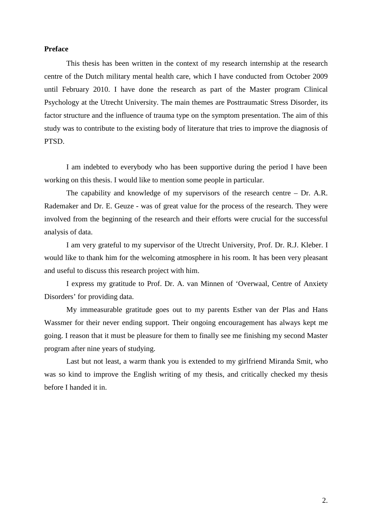## **Preface**

This thesis has been written in the context of my research internship at the research centre of the Dutch military mental health care, which I have conducted from October 2009 until February 2010. I have done the research as part of the Master program Clinical Psychology at the Utrecht University. The main themes are Posttraumatic Stress Disorder, its factor structure and the influence of trauma type on the symptom presentation. The aim of this study was to contribute to the existing body of literature that tries to improve the diagnosis of PTSD.

I am indebted to everybody who has been supportive during the period I have been working on this thesis. I would like to mention some people in particular.

The capability and knowledge of my supervisors of the research centre – Dr. A.R. Rademaker and Dr. E. Geuze - was of great value for the process of the research. They were involved from the beginning of the research and their efforts were crucial for the successful analysis of data.

I am very grateful to my supervisor of the Utrecht University, Prof. Dr. R.J. Kleber. I would like to thank him for the welcoming atmosphere in his room. It has been very pleasant and useful to discuss this research project with him.

I express my gratitude to Prof. Dr. A. van Minnen of 'Overwaal, Centre of Anxiety Disorders' for providing data.

My immeasurable gratitude goes out to my parents Esther van der Plas and Hans Wassmer for their never ending support. Their ongoing encouragement has always kept me going. I reason that it must be pleasure for them to finally see me finishing my second Master program after nine years of studying.

Last but not least, a warm thank you is extended to my girlfriend Miranda Smit, who was so kind to improve the English writing of my thesis, and critically checked my thesis before I handed it in.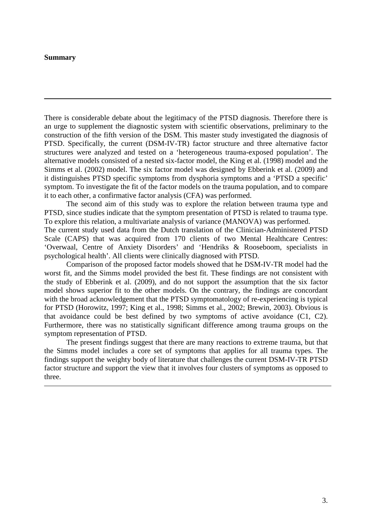## **Summary**

There is considerable debate about the legitimacy of the PTSD diagnosis. Therefore there is an urge to supplement the diagnostic system with scientific observations, preliminary to the construction of the fifth version of the DSM. This master study investigated the diagnosis of PTSD. Specifically, the current (DSM-IV-TR) factor structure and three alternative factor structures were analyzed and tested on a 'heterogeneous trauma-exposed population'. The alternative models consisted of a nested six-factor model, the King et al. (1998) model and the Simms et al. (2002) model. The six factor model was designed by Ebberink et al. (2009) and it distinguishes PTSD specific symptoms from dysphoria symptoms and a 'PTSD a specific' symptom. To investigate the fit of the factor models on the trauma population, and to compare it to each other, a confirmative factor analysis (CFA) was performed.

The second aim of this study was to explore the relation between trauma type and PTSD, since studies indicate that the symptom presentation of PTSD is related to trauma type. To explore this relation, a multivariate analysis of variance (MANOVA) was performed. The current study used data from the Dutch translation of the Clinician-Administered PTSD Scale (CAPS) that was acquired from 170 clients of two Mental Healthcare Centres: 'Overwaal, Centre of Anxiety Disorders' and 'Hendriks & Rooseboom, specialists in psychological health'. All clients were clinically diagnosed with PTSD.

Comparison of the proposed factor models showed that he DSM-IV-TR model had the worst fit, and the Simms model provided the best fit. These findings are not consistent with the study of Ebberink et al. (2009), and do not support the assumption that the six factor model shows superior fit to the other models. On the contrary, the findings are concordant with the broad acknowledgement that the PTSD symptomatology of re-experiencing is typical for PTSD (Horowitz, 1997; King et al., 1998; Simms et al., 2002; Brewin, 2003). Obvious is that avoidance could be best defined by two symptoms of active avoidance (C1, C2). Furthermore, there was no statistically significant difference among trauma groups on the symptom representation of PTSD.

The present findings suggest that there are many reactions to extreme trauma, but that the Simms model includes a core set of symptoms that applies for all trauma types. The findings support the weighty body of literature that challenges the current DSM-IV-TR PTSD factor structure and support the view that it involves four clusters of symptoms as opposed to three.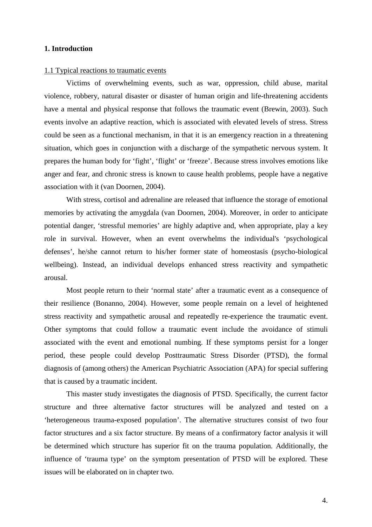## **1. Introduction**

#### 1.1 Typical reactions to traumatic events

Victims of overwhelming events, such as war, oppression, child abuse, marital violence, robbery, natural disaster or disaster of human origin and life-threatening accidents have a mental and physical response that follows the traumatic event (Brewin, 2003). Such events involve an adaptive reaction, which is associated with elevated levels of stress. Stress could be seen as a functional mechanism, in that it is an emergency reaction in a threatening situation, which goes in conjunction with a discharge of the sympathetic nervous system. It prepares the human body for 'fight', 'flight' or 'freeze'. Because stress involves emotions like anger and fear, and chronic stress is known to cause health problems, people have a negative association with it (van Doornen, 2004).

With stress, cortisol and adrenaline are released that influence the storage of emotional memories by activating the amygdala (van Doornen, 2004). Moreover, in order to anticipate potential danger, 'stressful memories' are highly adaptive and, when appropriate, play a key role in survival. However, when an event overwhelms the individual's 'psychological defenses', he/she cannot return to his/her former state of homeostasis (psycho-biological wellbeing). Instead, an individual develops enhanced stress reactivity and sympathetic arousal.

Most people return to their 'normal state' after a traumatic event as a consequence of their resilience (Bonanno, 2004). However, some people remain on a level of heightened stress reactivity and sympathetic arousal and repeatedly re-experience the traumatic event. Other symptoms that could follow a traumatic event include the avoidance of stimuli associated with the event and emotional numbing. If these symptoms persist for a longer period, these people could develop Posttraumatic Stress Disorder (PTSD), the formal diagnosis of (among others) the American Psychiatric Association (APA) for special suffering that is caused by a traumatic incident.

This master study investigates the diagnosis of PTSD. Specifically, the current factor structure and three alternative factor structures will be analyzed and tested on a 'heterogeneous trauma-exposed population'. The alternative structures consist of two four factor structures and a six factor structure. By means of a confirmatory factor analysis it will be determined which structure has superior fit on the trauma population. Additionally, the influence of 'trauma type' on the symptom presentation of PTSD will be explored. These issues will be elaborated on in chapter two.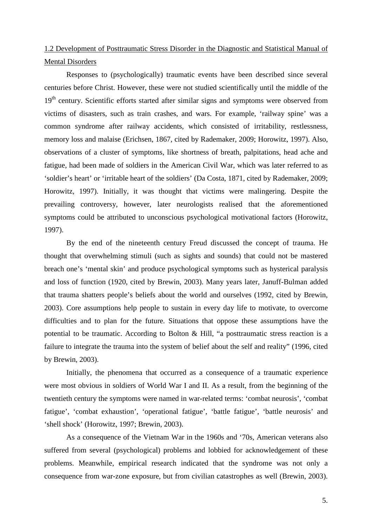# 1.2 Development of Posttraumatic Stress Disorder in the Diagnostic and Statistical Manual of Mental Disorders

Responses to (psychologically) traumatic events have been described since several centuries before Christ. However, these were not studied scientifically until the middle of the 19<sup>th</sup> century. Scientific efforts started after similar signs and symptoms were observed from victims of disasters, such as train crashes, and wars. For example, 'railway spine' was a common syndrome after railway accidents, which consisted of irritability, restlessness, memory loss and malaise (Erichsen, 1867, cited by Rademaker, 2009; Horowitz, 1997). Also, observations of a cluster of symptoms, like shortness of breath, palpitations, head ache and fatigue, had been made of soldiers in the American Civil War, which was later referred to as 'soldier's heart' or 'irritable heart of the soldiers' (Da Costa, 1871, cited by Rademaker, 2009; Horowitz, 1997). Initially, it was thought that victims were malingering. Despite the prevailing controversy, however, later neurologists realised that the aforementioned symptoms could be attributed to unconscious psychological motivational factors (Horowitz, 1997).

By the end of the nineteenth century Freud discussed the concept of trauma. He thought that overwhelming stimuli (such as sights and sounds) that could not be mastered breach one's 'mental skin' and produce psychological symptoms such as hysterical paralysis and loss of function (1920, cited by Brewin, 2003). Many years later, Januff-Bulman added that trauma shatters people's beliefs about the world and ourselves (1992, cited by Brewin, 2003). Core assumptions help people to sustain in every day life to motivate, to overcome difficulties and to plan for the future. Situations that oppose these assumptions have the potential to be traumatic. According to Bolton & Hill, "a posttraumatic stress reaction is a failure to integrate the trauma into the system of belief about the self and reality" (1996, cited by Brewin, 2003).

Initially, the phenomena that occurred as a consequence of a traumatic experience were most obvious in soldiers of World War I and II. As a result, from the beginning of the twentieth century the symptoms were named in war-related terms: 'combat neurosis', 'combat fatigue', 'combat exhaustion', 'operational fatigue', 'battle fatigue', 'battle neurosis' and 'shell shock' (Horowitz, 1997; Brewin, 2003).

As a consequence of the Vietnam War in the 1960s and '70s, American veterans also suffered from several (psychological) problems and lobbied for acknowledgement of these problems. Meanwhile, empirical research indicated that the syndrome was not only a consequence from war-zone exposure, but from civilian catastrophes as well (Brewin, 2003).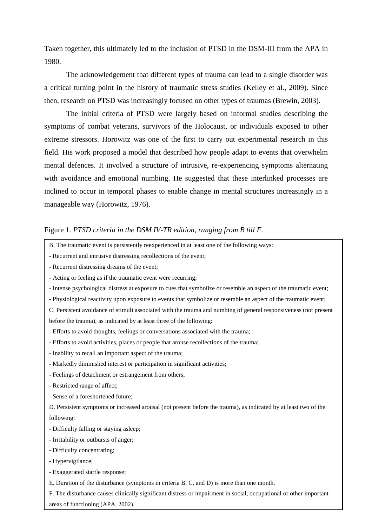Taken together, this ultimately led to the inclusion of PTSD in the DSM-III from the APA in 1980.

The acknowledgement that different types of trauma can lead to a single disorder was a critical turning point in the history of traumatic stress studies (Kelley et al., 2009). Since then, research on PTSD was increasingly focused on other types of traumas (Brewin, 2003).

The initial criteria of PTSD were largely based on informal studies describing the symptoms of combat veterans, survivors of the Holocaust, or individuals exposed to other extreme stressors. Horowitz was one of the first to carry out experimental research in this field. His work proposed a model that described how people adapt to events that overwhelm mental defences. It involved a structure of intrusive, re-experiencing symptoms alternating with avoidance and emotional numbing. He suggested that these interlinked processes are inclined to occur in temporal phases to enable change in mental structures increasingly in a manageable way (Horowitz, 1976).

## Figure 1. *PTSD criteria in the DSM IV-TR edition*, *ranging from B till F.*

- B. The traumatic event is persistently reexperienced in at least one of the following ways:
- Recurrent and intrusive distressing recollections of the event;
- Recurrent distressing dreams of the event;
- Acting or feeling as if the traumatic event were recurring;
- Intense psychological distress at exposure to cues that symbolize or resemble an aspect of the traumatic event;
- Physiological reactivity upon exposure to events that symbolize or resemble an aspect of the traumatic event;
- C. Persistent avoidance of stimuli associated with the trauma and numbing of general responsiveness (not present before the trauma), as indicated by at least three of the following:
- Efforts to avoid thoughts, feelings or conversations associated with the trauma;
- Efforts to avoid activities, places or people that arouse recollections of the trauma;
- Inability to recall an important aspect of the trauma;
- Markedly diminished interest or participation in significant activities;
- Feelings of detachment or estrangement from others;
- Restricted range of affect;
- Sense of a foreshortened future;

D. Persistent symptoms or increased arousal (not present before the trauma), as indicated by at least two of the following:

- Difficulty falling or staying asleep;
- Irritability or outbursts of anger;
- Difficulty concentrating;
- Hypervigilance;
- Exaggerated startle response;
- E. Duration of the disturbance (symptoms in criteria B, C, and D) is more than one month.
- F. The disturbance causes clinically significant distress or impairment in social, occupational or other important
- areas of functioning (APA, 2002).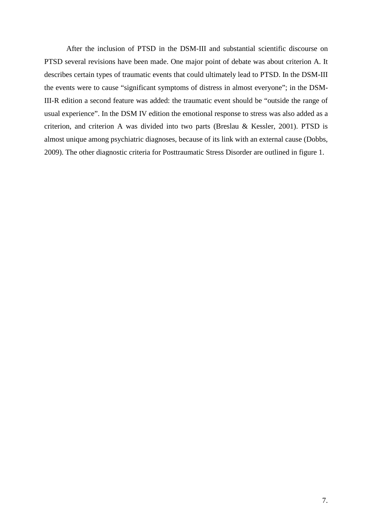After the inclusion of PTSD in the DSM-III and substantial scientific discourse on PTSD several revisions have been made. One major point of debate was about criterion A. It describes certain types of traumatic events that could ultimately lead to PTSD. In the DSM-III the events were to cause "significant symptoms of distress in almost everyone"; in the DSM-III-R edition a second feature was added: the traumatic event should be "outside the range of usual experience". In the DSM IV edition the emotional response to stress was also added as a criterion, and criterion A was divided into two parts (Breslau & Kessler, 2001). PTSD is almost unique among psychiatric diagnoses, because of its link with an external cause (Dobbs, 2009). The other diagnostic criteria for Posttraumatic Stress Disorder are outlined in figure 1.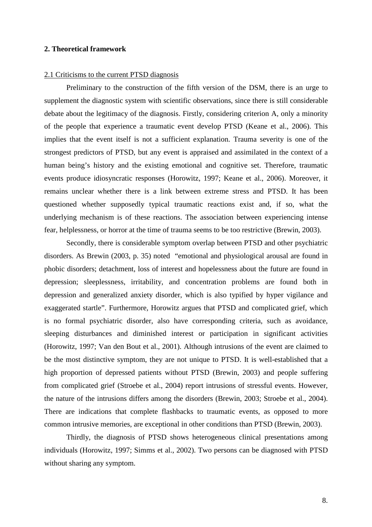## **2. Theoretical framework**

#### 2.1 Criticisms to the current PTSD diagnosis

Preliminary to the construction of the fifth version of the DSM, there is an urge to supplement the diagnostic system with scientific observations, since there is still considerable debate about the legitimacy of the diagnosis. Firstly, considering criterion A, only a minority of the people that experience a traumatic event develop PTSD (Keane et al., 2006). This implies that the event itself is not a sufficient explanation. Trauma severity is one of the strongest predictors of PTSD, but any event is appraised and assimilated in the context of a human being's history and the existing emotional and cognitive set. Therefore, traumatic events produce idiosyncratic responses (Horowitz, 1997; Keane et al., 2006). Moreover, it remains unclear whether there is a link between extreme stress and PTSD. It has been questioned whether supposedly typical traumatic reactions exist and, if so, what the underlying mechanism is of these reactions. The association between experiencing intense fear, helplessness, or horror at the time of trauma seems to be too restrictive (Brewin, 2003).

Secondly, there is considerable symptom overlap between PTSD and other psychiatric disorders. As Brewin (2003, p. 35) noted "emotional and physiological arousal are found in phobic disorders; detachment, loss of interest and hopelessness about the future are found in depression; sleeplessness, irritability, and concentration problems are found both in depression and generalized anxiety disorder, which is also typified by hyper vigilance and exaggerated startle". Furthermore, Horowitz argues that PTSD and complicated grief, which is no formal psychiatric disorder, also have corresponding criteria, such as avoidance, sleeping disturbances and diminished interest or participation in significant activities (Horowitz, 1997; Van den Bout et al., 2001). Although intrusions of the event are claimed to be the most distinctive symptom, they are not unique to PTSD. It is well-established that a high proportion of depressed patients without PTSD (Brewin, 2003) and people suffering from complicated grief (Stroebe et al., 2004) report intrusions of stressful events. However, the nature of the intrusions differs among the disorders (Brewin, 2003; Stroebe et al., 2004). There are indications that complete flashbacks to traumatic events, as opposed to more common intrusive memories, are exceptional in other conditions than PTSD (Brewin, 2003).

Thirdly, the diagnosis of PTSD shows heterogeneous clinical presentations among individuals (Horowitz, 1997; Simms et al., 2002). Two persons can be diagnosed with PTSD without sharing any symptom.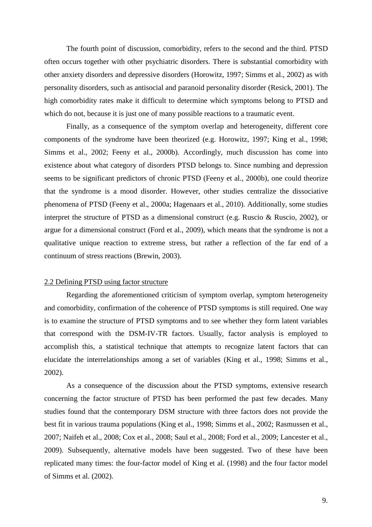The fourth point of discussion, comorbidity, refers to the second and the third. PTSD often occurs together with other psychiatric disorders. There is substantial comorbidity with other anxiety disorders and depressive disorders (Horowitz, 1997; Simms et al., 2002) as with personality disorders, such as antisocial and paranoid personality disorder (Resick, 2001). The high comorbidity rates make it difficult to determine which symptoms belong to PTSD and which do not, because it is just one of many possible reactions to a traumatic event.

Finally, as a consequence of the symptom overlap and heterogeneity, different core components of the syndrome have been theorized (e.g. Horowitz, 1997; King et al., 1998; Simms et al., 2002; Feeny et al., 2000b). Accordingly, much discussion has come into existence about what category of disorders PTSD belongs to. Since numbing and depression seems to be significant predictors of chronic PTSD (Feeny et al., 2000b), one could theorize that the syndrome is a mood disorder. However, other studies centralize the dissociative phenomena of PTSD (Feeny et al., 2000a; Hagenaars et al., 2010). Additionally, some studies interpret the structure of PTSD as a dimensional construct (e.g. Ruscio & Ruscio, 2002), or argue for a dimensional construct (Ford et al., 2009), which means that the syndrome is not a qualitative unique reaction to extreme stress, but rather a reflection of the far end of a continuum of stress reactions (Brewin, 2003).

## 2.2 Defining PTSD using factor structure

Regarding the aforementioned criticism of symptom overlap, symptom heterogeneity and comorbidity, confirmation of the coherence of PTSD symptoms is still required. One way is to examine the structure of PTSD symptoms and to see whether they form latent variables that correspond with the DSM-IV-TR factors. Usually, factor analysis is employed to accomplish this, a statistical technique that attempts to recognize latent factors that can elucidate the interrelationships among a set of variables (King et al., 1998; Simms et al., 2002).

As a consequence of the discussion about the PTSD symptoms, extensive research concerning the factor structure of PTSD has been performed the past few decades. Many studies found that the contemporary DSM structure with three factors does not provide the best fit in various trauma populations (King et al., 1998; Simms et al., 2002; Rasmussen et al., 2007; Naifeh et al., 2008; Cox et al., 2008; Saul et al., 2008; Ford et al., 2009; Lancester et al., 2009). Subsequently, alternative models have been suggested. Two of these have been replicated many times: the four-factor model of King et al. (1998) and the four factor model of Simms et al. (2002).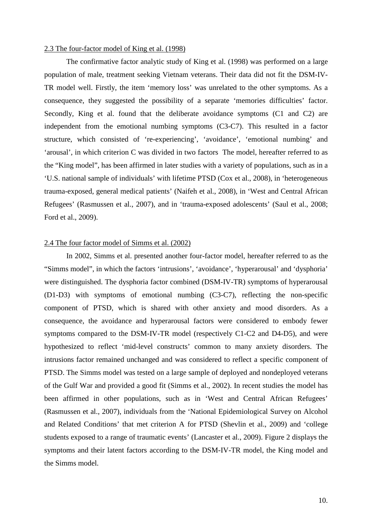#### 2.3 The four-factor model of King et al. (1998)

The confirmative factor analytic study of King et al. (1998) was performed on a large population of male, treatment seeking Vietnam veterans. Their data did not fit the DSM-IV-TR model well. Firstly, the item 'memory loss' was unrelated to the other symptoms. As a consequence, they suggested the possibility of a separate 'memories difficulties' factor. Secondly, King et al. found that the deliberate avoidance symptoms (C1 and C2) are independent from the emotional numbing symptoms (C3-C7). This resulted in a factor structure, which consisted of 're-experiencing', 'avoidance', 'emotional numbing' and 'arousal', in which criterion C was divided in two factors The model, hereafter referred to as the "King model", has been affirmed in later studies with a variety of populations, such as in a 'U.S. national sample of individuals' with lifetime PTSD (Cox et al., 2008), in 'heterogeneous trauma-exposed, general medical patients' (Naifeh et al., 2008), in 'West and Central African Refugees' (Rasmussen et al., 2007), and in 'trauma-exposed adolescents' (Saul et al., 2008; Ford et al., 2009).

## 2.4 The four factor model of Simms et al. (2002)

In 2002, Simms et al. presented another four-factor model, hereafter referred to as the "Simms model", in which the factors 'intrusions', 'avoidance', 'hyperarousal' and 'dysphoria' were distinguished. The dysphoria factor combined (DSM-IV-TR) symptoms of hyperarousal (D1-D3) with symptoms of emotional numbing (C3-C7), reflecting the non-specific component of PTSD, which is shared with other anxiety and mood disorders. As a consequence, the avoidance and hyperarousal factors were considered to embody fewer symptoms compared to the DSM-IV-TR model (respectively C1-C2 and D4-D5), and were hypothesized to reflect 'mid-level constructs' common to many anxiety disorders. The intrusions factor remained unchanged and was considered to reflect a specific component of PTSD. The Simms model was tested on a large sample of deployed and nondeployed veterans of the Gulf War and provided a good fit (Simms et al., 2002). In recent studies the model has been affirmed in other populations, such as in 'West and Central African Refugees' (Rasmussen et al., 2007), individuals from the 'National Epidemiological Survey on Alcohol and Related Conditions' that met criterion A for PTSD (Shevlin et al., 2009) and 'college students exposed to a range of traumatic events' (Lancaster et al., 2009). Figure 2 displays the symptoms and their latent factors according to the DSM-IV-TR model, the King model and the Simms model.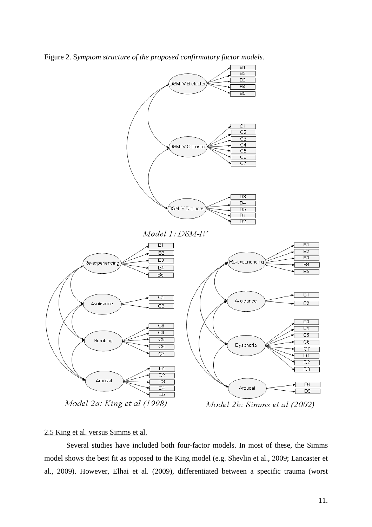Figure 2. S*ymptom structure of the proposed confirmatory factor models.* 



## 2.5 King et al. versus Simms et al.

Several studies have included both four-factor models. In most of these, the Simms model shows the best fit as opposed to the King model (e.g. Shevlin et al., 2009; Lancaster et al., 2009). However, Elhai et al. (2009), differentiated between a specific trauma (worst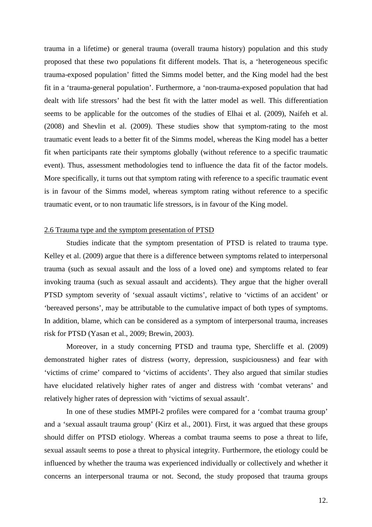trauma in a lifetime) or general trauma (overall trauma history) population and this study proposed that these two populations fit different models. That is, a 'heterogeneous specific trauma-exposed population' fitted the Simms model better, and the King model had the best fit in a 'trauma-general population'. Furthermore, a 'non-trauma-exposed population that had dealt with life stressors' had the best fit with the latter model as well. This differentiation seems to be applicable for the outcomes of the studies of Elhai et al. (2009), Naifeh et al. (2008) and Shevlin et al. (2009). These studies show that symptom-rating to the most traumatic event leads to a better fit of the Simms model, whereas the King model has a better fit when participants rate their symptoms globally (without reference to a specific traumatic event). Thus, assessment methodologies tend to influence the data fit of the factor models. More specifically, it turns out that symptom rating with reference to a specific traumatic event is in favour of the Simms model, whereas symptom rating without reference to a specific traumatic event, or to non traumatic life stressors, is in favour of the King model.

#### 2.6 Trauma type and the symptom presentation of PTSD

Studies indicate that the symptom presentation of PTSD is related to trauma type. Kelley et al. (2009) argue that there is a difference between symptoms related to interpersonal trauma (such as sexual assault and the loss of a loved one) and symptoms related to fear invoking trauma (such as sexual assault and accidents). They argue that the higher overall PTSD symptom severity of 'sexual assault victims', relative to 'victims of an accident' or 'bereaved persons', may be attributable to the cumulative impact of both types of symptoms. In addition, blame, which can be considered as a symptom of interpersonal trauma, increases risk for PTSD (Yasan et al., 2009; Brewin, 2003).

Moreover, in a study concerning PTSD and trauma type, Shercliffe et al. (2009) demonstrated higher rates of distress (worry, depression, suspiciousness) and fear with 'victims of crime' compared to 'victims of accidents'. They also argued that similar studies have elucidated relatively higher rates of anger and distress with 'combat veterans' and relatively higher rates of depression with 'victims of sexual assault'.

In one of these studies MMPI-2 profiles were compared for a 'combat trauma group' and a 'sexual assault trauma group' (Kirz et al., 2001). First, it was argued that these groups should differ on PTSD etiology. Whereas a combat trauma seems to pose a threat to life, sexual assault seems to pose a threat to physical integrity. Furthermore, the etiology could be influenced by whether the trauma was experienced individually or collectively and whether it concerns an interpersonal trauma or not. Second, the study proposed that trauma groups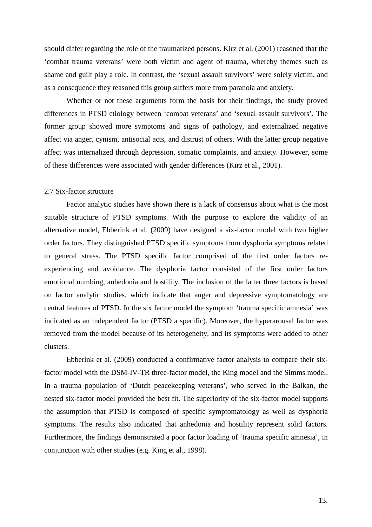should differ regarding the role of the traumatized persons. Kirz et al. (2001) reasoned that the 'combat trauma veterans' were both victim and agent of trauma, whereby themes such as shame and guilt play a role. In contrast, the 'sexual assault survivors' were solely victim, and as a consequence they reasoned this group suffers more from paranoia and anxiety.

Whether or not these arguments form the basis for their findings, the study proved differences in PTSD etiology between 'combat veterans' and 'sexual assault survivors'. The former group showed more symptoms and signs of pathology, and externalized negative affect via anger, cynism, antisocial acts, and distrust of others. With the latter group negative affect was internalized through depression, somatic complaints, and anxiety. However, some of these differences were associated with gender differences (Kirz et al., 2001).

### 2.7 Six-factor structure

Factor analytic studies have shown there is a lack of consensus about what is the most suitable structure of PTSD symptoms. With the purpose to explore the validity of an alternative model, Ebberink et al. (2009) have designed a six-factor model with two higher order factors. They distinguished PTSD specific symptoms from dysphoria symptoms related to general stress. The PTSD specific factor comprised of the first order factors reexperiencing and avoidance. The dysphoria factor consisted of the first order factors emotional numbing, anhedonia and hostility. The inclusion of the latter three factors is based on factor analytic studies, which indicate that anger and depressive symptomatology are central features of PTSD. In the six factor model the symptom 'trauma specific amnesia' was indicated as an independent factor (PTSD a specific). Moreover, the hyperarousal factor was removed from the model because of its heterogeneity, and its symptoms were added to other clusters.

Ebberink et al. (2009) conducted a confirmative factor analysis to compare their sixfactor model with the DSM-IV-TR three-factor model, the King model and the Simms model. In a trauma population of 'Dutch peacekeeping veterans', who served in the Balkan, the nested six-factor model provided the best fit. The superiority of the six-factor model supports the assumption that PTSD is composed of specific symptomatology as well as dysphoria symptoms. The results also indicated that anhedonia and hostility represent solid factors. Furthermore, the findings demonstrated a poor factor loading of 'trauma specific amnesia', in conjunction with other studies (e.g. King et al., 1998).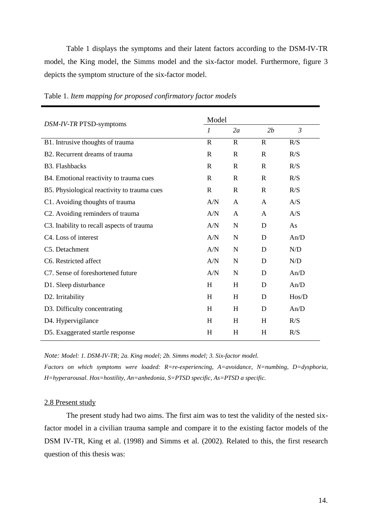Table 1 displays the symptoms and their latent factors according to the DSM-IV-TR model, the King model, the Simms model and the six-factor model. Furthermore, figure 3 depicts the symptom structure of the six-factor model.

| DSM-IV-TR PTSD-symptoms                     |                  | Model        |              |                |  |  |
|---------------------------------------------|------------------|--------------|--------------|----------------|--|--|
|                                             | $\boldsymbol{l}$ | 2a           | 2b           | $\mathfrak{Z}$ |  |  |
| B1. Intrusive thoughts of trauma            | $\mathbf R$      | $\mathbf R$  | $\mathbf R$  | R/S            |  |  |
| B <sub>2</sub> . Recurrent dreams of trauma | $\mathbf R$      | $\mathbb{R}$ | $\mathbf{R}$ | R/S            |  |  |
| <b>B3.</b> Flashbacks                       | $\mathbf R$      | $\mathbf R$  | $\mathbf{R}$ | R/S            |  |  |
| B4. Emotional reactivity to trauma cues     | $\mathbb{R}$     | $\mathbf R$  | $\mathbf{R}$ | R/S            |  |  |
| B5. Physiological reactivity to trauma cues | $\mathbf R$      | $\mathbb{R}$ | $\mathbf{R}$ | R/S            |  |  |
| C1. Avoiding thoughts of trauma             | A/N              | A            | A            | A/S            |  |  |
| C2. Avoiding reminders of trauma            | A/N              | A            | $\mathsf{A}$ | A/S            |  |  |
| C3. Inability to recall aspects of trauma   | A/N              | $\mathbf N$  | D            | As             |  |  |
| C4. Loss of interest                        | A/N              | N            | D            | An/D           |  |  |
| C5. Detachment                              | A/N              | N            | D            | N/D            |  |  |
| C6. Restricted affect                       | A/N              | $\mathbf N$  | D            | N/D            |  |  |
| C7. Sense of foreshortened future           | A/N              | N            | D            | An/D           |  |  |
| D1. Sleep disturbance                       | H                | H            | D            | An/D           |  |  |
| D2. Irritability                            | H                | H            | D            | Hos/D          |  |  |
| D3. Difficulty concentrating                | H                | H            | D            | An/D           |  |  |
| D4. Hypervigilance                          | H                | H            | H            | R/S            |  |  |
| D5. Exaggerated startle response            | H                | H            | H            | R/S            |  |  |

Table 1. *Item mapping for proposed confirmatory factor models*

*Note: Model: 1. DSM-IV-TR; 2a. King model; 2b. Simms model; 3. Six-factor model.* 

*Factors on which symptoms were loaded: R=re-experiencing, A=avoidance, N=numbing, D=dysphoria, H=hyperarousal. Hos=hostility, An=anhedonia, S=PTSD specific, As=PTSD a specific.* 

## 2.8 Present study

The present study had two aims. The first aim was to test the validity of the nested sixfactor model in a civilian trauma sample and compare it to the existing factor models of the DSM IV-TR, King et al. (1998) and Simms et al. (2002). Related to this, the first research question of this thesis was: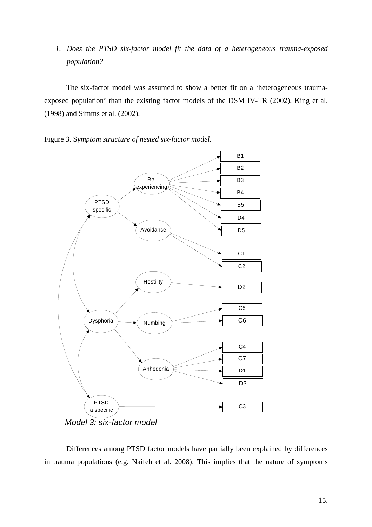*1. Does the PTSD six-factor model fit the data of a heterogeneous trauma-exposed population?* 

The six-factor model was assumed to show a better fit on a 'heterogeneous traumaexposed population' than the existing factor models of the DSM IV-TR (2002), King et al. (1998) and Simms et al. (2002).

Figure 3. S*ymptom structure of nested six-factor model.*



Differences among PTSD factor models have partially been explained by differences in trauma populations (e.g. Naifeh et al. 2008). This implies that the nature of symptoms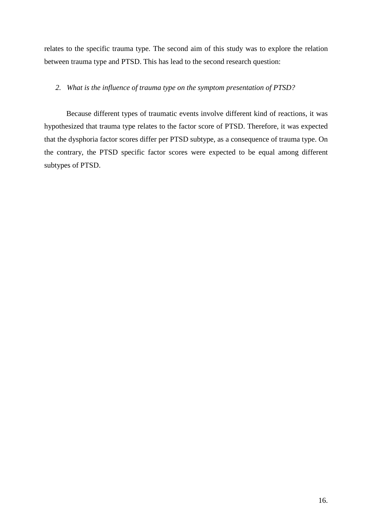relates to the specific trauma type. The second aim of this study was to explore the relation between trauma type and PTSD. This has lead to the second research question:

## *2. What is the influence of trauma type on the symptom presentation of PTSD?*

Because different types of traumatic events involve different kind of reactions, it was hypothesized that trauma type relates to the factor score of PTSD. Therefore, it was expected that the dysphoria factor scores differ per PTSD subtype, as a consequence of trauma type. On the contrary, the PTSD specific factor scores were expected to be equal among different subtypes of PTSD.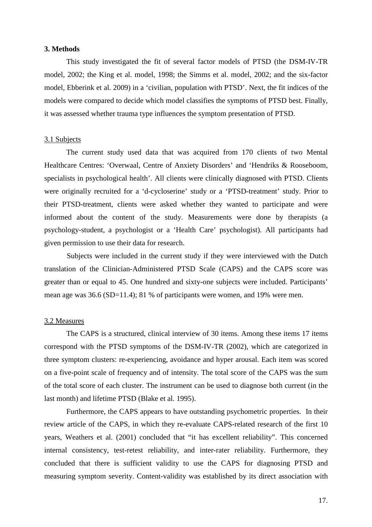#### **3. Methods**

This study investigated the fit of several factor models of PTSD (the DSM-IV-TR model, 2002; the King et al. model, 1998; the Simms et al. model, 2002; and the six-factor model, Ebberink et al. 2009) in a 'civilian, population with PTSD'. Next, the fit indices of the models were compared to decide which model classifies the symptoms of PTSD best. Finally, it was assessed whether trauma type influences the symptom presentation of PTSD.

#### 3.1 Subjects

The current study used data that was acquired from 170 clients of two Mental Healthcare Centres: 'Overwaal, Centre of Anxiety Disorders' and 'Hendriks & Rooseboom, specialists in psychological health'. All clients were clinically diagnosed with PTSD. Clients were originally recruited for a 'd-cycloserine' study or a 'PTSD-treatment' study. Prior to their PTSD-treatment, clients were asked whether they wanted to participate and were informed about the content of the study. Measurements were done by therapists (a psychology-student, a psychologist or a 'Health Care' psychologist). All participants had given permission to use their data for research.

Subjects were included in the current study if they were interviewed with the Dutch translation of the Clinician-Administered PTSD Scale (CAPS) and the CAPS score was greater than or equal to 45. One hundred and sixty-one subjects were included. Participants' mean age was 36.6 (SD=11.4); 81 % of participants were women, and 19% were men.

#### 3.2 Measures

The CAPS is a structured, clinical interview of 30 items. Among these items 17 items correspond with the PTSD symptoms of the DSM-IV-TR (2002), which are categorized in three symptom clusters: re-experiencing, avoidance and hyper arousal. Each item was scored on a five-point scale of frequency and of intensity. The total score of the CAPS was the sum of the total score of each cluster. The instrument can be used to diagnose both current (in the last month) and lifetime PTSD (Blake et al. 1995).

Furthermore, the CAPS appears to have outstanding psychometric properties. In their review article of the CAPS, in which they re-evaluate CAPS-related research of the first 10 years, Weathers et al. (2001) concluded that "it has excellent reliability". This concerned internal consistency, test-retest reliability, and inter-rater reliability. Furthermore, they concluded that there is sufficient validity to use the CAPS for diagnosing PTSD and measuring symptom severity. Content-validity was established by its direct association with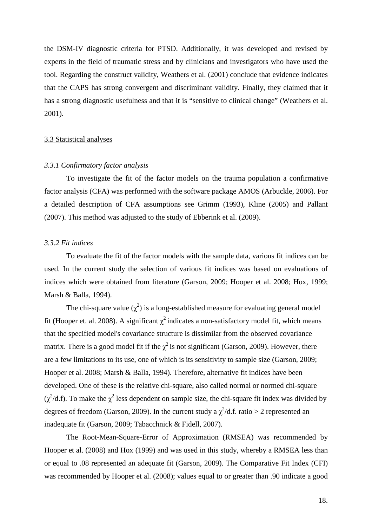the DSM-IV diagnostic criteria for PTSD. Additionally, it was developed and revised by experts in the field of traumatic stress and by clinicians and investigators who have used the tool. Regarding the construct validity, Weathers et al. (2001) conclude that evidence indicates that the CAPS has strong convergent and discriminant validity. Finally, they claimed that it has a strong diagnostic usefulness and that it is "sensitive to clinical change" (Weathers et al. 2001).

#### 3.3 Statistical analyses

## *3.3.1 Confirmatory factor analysis*

To investigate the fit of the factor models on the trauma population a confirmative factor analysis (CFA) was performed with the software package AMOS (Arbuckle, 2006). For a detailed description of CFA assumptions see Grimm (1993), Kline (2005) and Pallant (2007). This method was adjusted to the study of Ebberink et al. (2009).

## *3.3.2 Fit indices*

To evaluate the fit of the factor models with the sample data, various fit indices can be used. In the current study the selection of various fit indices was based on evaluations of indices which were obtained from literature (Garson, 2009; Hooper et al. 2008; Hox, 1999; Marsh & Balla, 1994).

The chi-square value  $(\chi^2)$  is a long-established measure for evaluating general model fit (Hooper et. al. 2008). A significant  $\chi^2$  indicates a non-satisfactory model fit, which means that the specified model's covariance structure is dissimilar from the observed covariance matrix. There is a good model fit if the  $\chi^2$  is not significant (Garson, 2009). However, there are a few limitations to its use, one of which is its sensitivity to sample size (Garson, 2009; Hooper et al. 2008; Marsh & Balla, 1994). Therefore, alternative fit indices have been developed. One of these is the relative chi-square, also called normal or normed chi-square  $(\chi^2/d.f)$ . To make the  $\chi^2$  less dependent on sample size, the chi-square fit index was divided by degrees of freedom (Garson, 2009). In the current study a  $\chi^2/d$ .f. ratio > 2 represented an inadequate fit (Garson, 2009; Tabacchnick & Fidell, 2007).

The Root-Mean-Square-Error of Approximation (RMSEA) was recommended by Hooper et al. (2008) and Hox (1999) and was used in this study, whereby a RMSEA less than or equal to .08 represented an adequate fit (Garson, 2009). The Comparative Fit Index (CFI) was recommended by Hooper et al. (2008); values equal to or greater than .90 indicate a good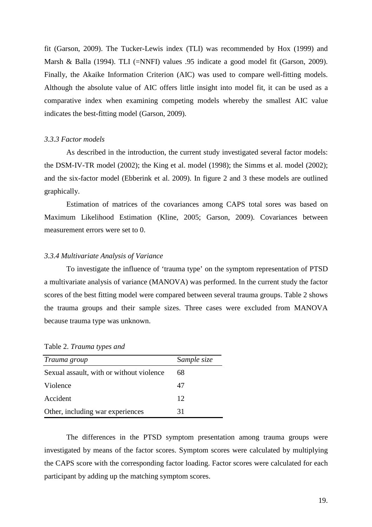fit (Garson, 2009). The Tucker*-*Lewis index (TLI) was recommended by Hox (1999) and Marsh & Balla (1994). TLI (=NNFI) values .95 indicate a good model fit (Garson, 2009). Finally, the Akaike Information Criterion (AIC) was used to compare well-fitting models. Although the absolute value of AIC offers little insight into model fit, it can be used as a comparative index when examining competing models whereby the smallest AIC value indicates the best-fitting model (Garson, 2009).

#### *3.3.3 Factor models*

As described in the introduction, the current study investigated several factor models: the DSM-IV-TR model (2002); the King et al. model (1998); the Simms et al. model (2002); and the six-factor model (Ebberink et al. 2009). In figure 2 and 3 these models are outlined graphically.

 Estimation of matrices of the covariances among CAPS total sores was based on Maximum Likelihood Estimation (Kline, 2005; Garson, 2009). Covariances between measurement errors were set to 0.

## *3.3.4 Multivariate Analysis of Variance*

To investigate the influence of 'trauma type' on the symptom representation of PTSD a multivariate analysis of variance (MANOVA) was performed. In the current study the factor scores of the best fitting model were compared between several trauma groups. Table 2 shows the trauma groups and their sample sizes. Three cases were excluded from MANOVA because trauma type was unknown.

| Trauma group                             | Sample size |
|------------------------------------------|-------------|
| Sexual assault, with or without violence | 68          |
| Violence                                 | 47          |
| Accident                                 | 12          |
| Other, including war experiences         | 31          |

Table 2. *Trauma types and* 

The differences in the PTSD symptom presentation among trauma groups were investigated by means of the factor scores. Symptom scores were calculated by multiplying the CAPS score with the corresponding factor loading. Factor scores were calculated for each participant by adding up the matching symptom scores.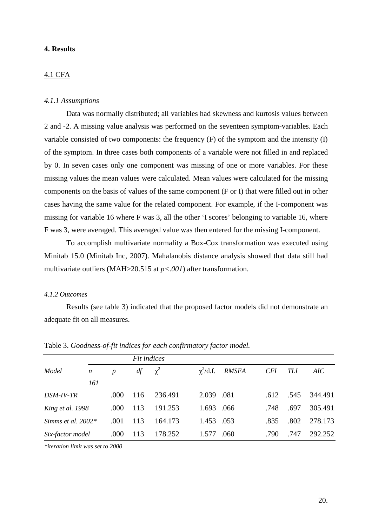## **4. Results**

## 4.1 CFA

## *4.1.1 Assumptions*

Data was normally distributed; all variables had skewness and kurtosis values between 2 and -2. A missing value analysis was performed on the seventeen symptom-variables. Each variable consisted of two components: the frequency (F) of the symptom and the intensity (I) of the symptom. In three cases both components of a variable were not filled in and replaced by 0. In seven cases only one component was missing of one or more variables. For these missing values the mean values were calculated. Mean values were calculated for the missing components on the basis of values of the same component (F or I) that were filled out in other cases having the same value for the related component. For example, if the I-component was missing for variable 16 where F was 3, all the other 'I scores' belonging to variable 16, where F was 3, were averaged. This averaged value was then entered for the missing I-component.

To accomplish multivariate normality a Box-Cox transformation was executed using Minitab 15.0 (Minitab Inc, 2007). Mahalanobis distance analysis showed that data still had multivariate outliers (MAH>20.515 at *p<.001*) after transformation.

#### *4.1.2 Outcomes*

Results (see table 3) indicated that the proposed factor models did not demonstrate an adequate fit on all measures.

|                      | Fit indices      |      |     |         |                |              |            |      |         |
|----------------------|------------------|------|-----|---------|----------------|--------------|------------|------|---------|
| Model                | $\boldsymbol{n}$ |      | df  |         | $\chi^2$ /d.f. | <b>RMSEA</b> | <b>CFI</b> | TLI  | AIC     |
|                      | 161              |      |     |         |                |              |            |      |         |
| DSM-IV-TR            |                  | .000 | 116 | 236.491 | 2.039 .081     |              | .612       | .545 | 344.491 |
| King et al. 1998     |                  | .000 | 113 | 191.253 | 1.693 .066     |              | .748       | .697 | 305.491 |
| Simms et al. $2002*$ |                  | .001 | 113 | 164.173 | 1.453 .053     |              | .835       | .802 | 278.173 |
| Six-factor model     |                  | .000 | 113 | 178.252 | 1.577          | .060         | .790       | .747 | 292.252 |

Table 3. *Goodness-of-fit indices for each confirmatory factor model.* 

*\*iteration limit was set to 2000*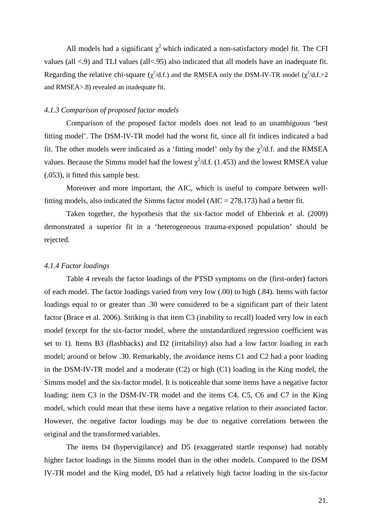All models had a significant  $\chi^2$  which indicated a non-satisfactory model fit. The CFI values (all <.9) and TLI values (all<.95) also indicated that all models have an inadequate fit. Regarding the relative chi-square ( $\chi^2$ /d.f.) and the RMSEA only the DSM-IV-TR model ( $\chi^2$ /d.f.>2 and RMSEA>.8) revealed an inadequate fit.

#### *4.1.3 Comparison of proposed factor models*

Comparison of the proposed factor models does not lead to an unambiguous 'best fitting model'. The DSM-IV-TR model had the worst fit, since all fit indices indicated a bad fit. The other models were indicated as a 'fitting model' only by the  $\chi^2/d.f$ . and the RMSEA values. Because the Simms model had the lowest  $\chi^2/d.f.$  (1.453) and the lowest RMSEA value (.053), it fitted this sample best.

Moreover and more important, the AIC, which is useful to compare between wellfitting models, also indicated the Simms factor model ( $AIC = 278.173$ ) had a better fit.

Taken together, the hypothesis that the six-factor model of Ebberink et al. (2009) demonstrated a superior fit in a 'heterogeneous trauma-exposed population' should be rejected.

#### *4.1.4 Factor loadings*

Table 4 reveals the factor loadings of the PTSD symptoms on the (first-order) factors of each model. The factor loadings varied from very low (.00) to high (.84). Items with factor loadings equal to or greater than .30 were considered to be a significant part of their latent factor (Brace et al. 2006). Striking is that item C3 (inability to recall) loaded very low in each model (except for the six-factor model, where the unstandardized regression coefficient was set to 1). Items B3 (flashbacks) and D2 (irritability) also had a low factor loading in each model; around or below .30. Remarkably, the avoidance items C1 and C2 had a poor loading in the DSM-IV-TR model and a moderate (C2) or high (C1) loading in the King model, the Simms model and the six-factor model. It is noticeable that some items have a negative factor loading: item C3 in the DSM-IV-TR model and the items C4, C5, C6 and C7 in the King model, which could mean that these items have a negative relation to their associated factor. However, the negative factor loadings may be due to negative correlations between the original and the transformed variables.

The items D4 (hypervigilance) and D5 (exaggerated startle response) had notably higher factor loadings in the Simms model than in the other models. Compared to the DSM IV-TR model and the King model, D5 had a relatively high factor loading in the six-factor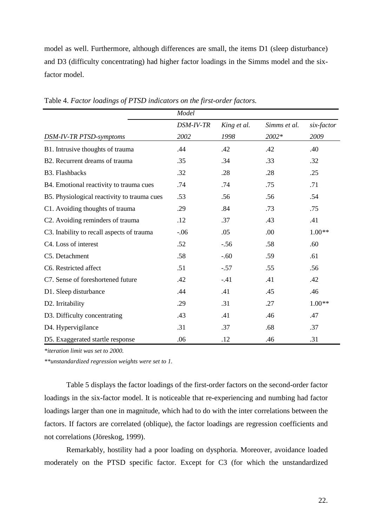model as well. Furthermore, although differences are small, the items D1 (sleep disturbance) and D3 (difficulty concentrating) had higher factor loadings in the Simms model and the sixfactor model.

|                                             | Model     |             |              |            |  |
|---------------------------------------------|-----------|-------------|--------------|------------|--|
|                                             | DSM-IV-TR | King et al. | Simms et al. | six-factor |  |
| DSM-IV-TR PTSD-symptoms                     | 2002      | 1998        | 2002*        | 2009       |  |
| B1. Intrusive thoughts of trauma            | .44       | .42         | .42          | .40        |  |
| B2. Recurrent dreams of trauma              | .35       | .34         | .33          | .32        |  |
| <b>B3. Flashbacks</b>                       | .32       | .28         | .28          | .25        |  |
| B4. Emotional reactivity to trauma cues     | .74       | .74         | .75          | .71        |  |
| B5. Physiological reactivity to trauma cues | .53       | .56         | .56          | .54        |  |
| C1. Avoiding thoughts of trauma             | .29       | .84         | .73          | .75        |  |
| C2. Avoiding reminders of trauma            | .12       | .37         | .43          | .41        |  |
| C3. Inability to recall aspects of trauma   | $-0.06$   | .05         | .00          | $1.00**$   |  |
| C4. Loss of interest                        | .52       | $-.56$      | .58          | .60        |  |
| C5. Detachment                              | .58       | $-.60$      | .59          | .61        |  |
| C6. Restricted affect                       | .51       | $-.57$      | .55          | .56        |  |
| C7. Sense of foreshortened future           | .42       | $-.41$      | .41          | .42        |  |
| D1. Sleep disturbance                       | .44       | .41         | .45          | .46        |  |
| D2. Irritability                            | .29       | .31         | .27          | $1.00**$   |  |
| D3. Difficulty concentrating                | .43       | .41         | .46          | .47        |  |
| D4. Hypervigilance                          | .31       | .37         | .68          | .37        |  |
| D5. Exaggerated startle response            | .06       | .12         | .46          | .31        |  |

Table 4. *Factor loadings of PTSD indicators on the first-order factors.*

*\*iteration limit was set to 2000.* 

*\*\*unstandardized regression weights were set to 1.* 

 Table 5 displays the factor loadings of the first-order factors on the second-order factor loadings in the six-factor model. It is noticeable that re-experiencing and numbing had factor loadings larger than one in magnitude, which had to do with the inter correlations between the factors. If factors are correlated (oblique), the factor loadings are regression coefficients and not correlations (Jöreskog, 1999).

 Remarkably, hostility had a poor loading on dysphoria. Moreover, avoidance loaded moderately on the PTSD specific factor. Except for C3 (for which the unstandardized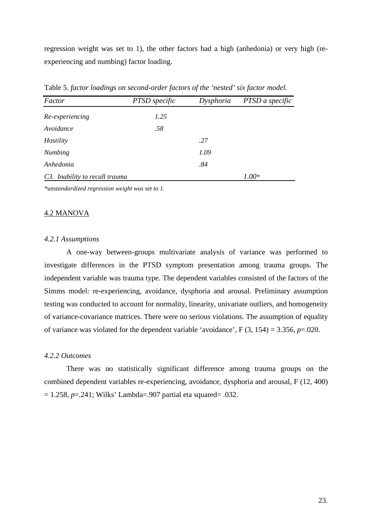regression weight was set to 1), the other factors had a high (anhedonia) or very high (reexperiencing and numbing) factor loading.

| Factor                         | PTSD specific | Dysphoria | PTSD a specific |
|--------------------------------|---------------|-----------|-----------------|
| Re-experiencing                | 1.25          |           |                 |
| Avoidance                      | .58           |           |                 |
| Hostility                      |               | .27       |                 |
| <b>Numbing</b>                 |               | 1.09      |                 |
| Anhedonia                      |               | .84       |                 |
| C3. Inability to recall trauma |               |           | $1.00*$         |

Table 5. *factor loadings on second-order factors of the 'nested' six factor model.*

*\*unstandardized regression weight was set to 1.* 

#### 4.2 MANOVA

#### *4.2.1 Assumptions*

A one-way between-groups multivariate analysis of variance was performed to investigate differences in the PTSD symptom presentation among trauma groups. The independent variable was trauma type. The dependent variables consisted of the factors of the Simms model: re-experiencing, avoidance, dysphoria and arousal. Preliminary assumption testing was conducted to account for normality, linearity, univariate outliers, and homogeneity of variance-covariance matrices. There were no serious violations. The assumption of equality of variance was violated for the dependent variable 'avoidance',  $F(3, 154) = 3.356$ ,  $p = .020$ .

## *4.2.2 Outcomes*

There was no statistically significant difference among trauma groups on the combined dependent variables re-experiencing, avoidance, dysphoria and arousal, F (12, 400) = 1.258, *p*=.241; Wilks' Lambda=.907 partial eta squared= .032.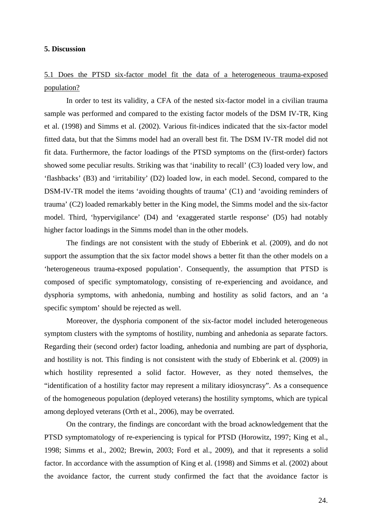## **5. Discussion**

## 5.1 Does the PTSD six-factor model fit the data of a heterogeneous trauma-exposed population?

In order to test its validity, a CFA of the nested six-factor model in a civilian trauma sample was performed and compared to the existing factor models of the DSM IV-TR, King et al. (1998) and Simms et al. (2002). Various fit-indices indicated that the six-factor model fitted data, but that the Simms model had an overall best fit. The DSM IV-TR model did not fit data. Furthermore, the factor loadings of the PTSD symptoms on the (first-order) factors showed some peculiar results. Striking was that 'inability to recall' (C3) loaded very low, and 'flashbacks' (B3) and 'irritability' (D2) loaded low, in each model. Second, compared to the DSM-IV-TR model the items 'avoiding thoughts of trauma' (C1) and 'avoiding reminders of trauma' (C2) loaded remarkably better in the King model, the Simms model and the six-factor model. Third, 'hypervigilance' (D4) and 'exaggerated startle response' (D5) had notably higher factor loadings in the Simms model than in the other models.

The findings are not consistent with the study of Ebberink et al. (2009), and do not support the assumption that the six factor model shows a better fit than the other models on a 'heterogeneous trauma-exposed population'. Consequently, the assumption that PTSD is composed of specific symptomatology, consisting of re-experiencing and avoidance, and dysphoria symptoms, with anhedonia, numbing and hostility as solid factors, and an 'a specific symptom' should be rejected as well.

Moreover, the dysphoria component of the six-factor model included heterogeneous symptom clusters with the symptoms of hostility, numbing and anhedonia as separate factors. Regarding their (second order) factor loading, anhedonia and numbing are part of dysphoria, and hostility is not. This finding is not consistent with the study of Ebberink et al. (2009) in which hostility represented a solid factor. However, as they noted themselves, the "identification of a hostility factor may represent a military idiosyncrasy". As a consequence of the homogeneous population (deployed veterans) the hostility symptoms, which are typical among deployed veterans (Orth et al., 2006), may be overrated.

On the contrary, the findings are concordant with the broad acknowledgement that the PTSD symptomatology of re-experiencing is typical for PTSD (Horowitz, 1997; King et al., 1998; Simms et al., 2002; Brewin, 2003; Ford et al., 2009), and that it represents a solid factor. In accordance with the assumption of King et al. (1998) and Simms et al. (2002) about the avoidance factor, the current study confirmed the fact that the avoidance factor is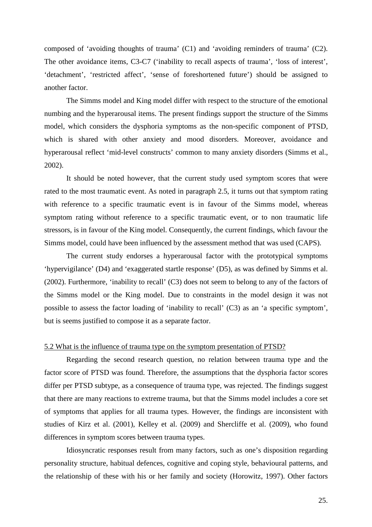composed of 'avoiding thoughts of trauma' (C1) and 'avoiding reminders of trauma' (C2). The other avoidance items, C3-C7 ('inability to recall aspects of trauma', 'loss of interest', 'detachment', 'restricted affect', 'sense of foreshortened future') should be assigned to another factor.

The Simms model and King model differ with respect to the structure of the emotional numbing and the hyperarousal items. The present findings support the structure of the Simms model, which considers the dysphoria symptoms as the non-specific component of PTSD, which is shared with other anxiety and mood disorders. Moreover, avoidance and hyperarousal reflect 'mid-level constructs' common to many anxiety disorders (Simms et al., 2002).

It should be noted however, that the current study used symptom scores that were rated to the most traumatic event. As noted in paragraph 2.5, it turns out that symptom rating with reference to a specific traumatic event is in favour of the Simms model, whereas symptom rating without reference to a specific traumatic event, or to non traumatic life stressors, is in favour of the King model. Consequently, the current findings, which favour the Simms model, could have been influenced by the assessment method that was used (CAPS).

The current study endorses a hyperarousal factor with the prototypical symptoms 'hypervigilance' (D4) and 'exaggerated startle response' (D5), as was defined by Simms et al. (2002). Furthermore, 'inability to recall' (C3) does not seem to belong to any of the factors of the Simms model or the King model. Due to constraints in the model design it was not possible to assess the factor loading of 'inability to recall' (C3) as an 'a specific symptom', but is seems justified to compose it as a separate factor.

#### 5.2 What is the influence of trauma type on the symptom presentation of PTSD?

Regarding the second research question, no relation between trauma type and the factor score of PTSD was found. Therefore, the assumptions that the dysphoria factor scores differ per PTSD subtype, as a consequence of trauma type, was rejected. The findings suggest that there are many reactions to extreme trauma, but that the Simms model includes a core set of symptoms that applies for all trauma types. However, the findings are inconsistent with studies of Kirz et al. (2001), Kelley et al. (2009) and Shercliffe et al. (2009), who found differences in symptom scores between trauma types.

 Idiosyncratic responses result from many factors, such as one's disposition regarding personality structure, habitual defences, cognitive and coping style, behavioural patterns, and the relationship of these with his or her family and society (Horowitz, 1997). Other factors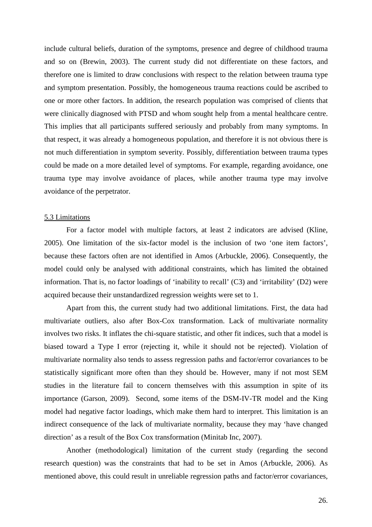include cultural beliefs, duration of the symptoms, presence and degree of childhood trauma and so on (Brewin, 2003). The current study did not differentiate on these factors, and therefore one is limited to draw conclusions with respect to the relation between trauma type and symptom presentation. Possibly, the homogeneous trauma reactions could be ascribed to one or more other factors. In addition, the research population was comprised of clients that were clinically diagnosed with PTSD and whom sought help from a mental healthcare centre. This implies that all participants suffered seriously and probably from many symptoms. In that respect, it was already a homogeneous population, and therefore it is not obvious there is not much differentiation in symptom severity. Possibly, differentiation between trauma types could be made on a more detailed level of symptoms. For example, regarding avoidance, one trauma type may involve avoidance of places, while another trauma type may involve avoidance of the perpetrator.

#### 5.3 Limitations

For a factor model with multiple factors, at least 2 indicators are advised (Kline, 2005). One limitation of the six-factor model is the inclusion of two 'one item factors', because these factors often are not identified in Amos (Arbuckle, 2006). Consequently, the model could only be analysed with additional constraints, which has limited the obtained information. That is, no factor loadings of 'inability to recall' (C3) and 'irritability' (D2) were acquired because their unstandardized regression weights were set to 1.

Apart from this, the current study had two additional limitations. First, the data had multivariate outliers, also after Box-Cox transformation. Lack of multivariate normality involves two risks. It inflates the chi-square statistic, and other fit indices, such that a model is biased toward a Type I error (rejecting it, while it should not be rejected). Violation of multivariate normality also tends to assess regression paths and factor/error covariances to be statistically significant more often than they should be. However, many if not most SEM studies in the literature fail to concern themselves with this assumption in spite of its importance (Garson, 2009). Second, some items of the DSM-IV-TR model and the King model had negative factor loadings, which make them hard to interpret. This limitation is an indirect consequence of the lack of multivariate normality, because they may 'have changed direction' as a result of the Box Cox transformation (Minitab Inc, 2007).

Another (methodological) limitation of the current study (regarding the second research question) was the constraints that had to be set in Amos (Arbuckle, 2006). As mentioned above, this could result in unreliable regression paths and factor/error covariances,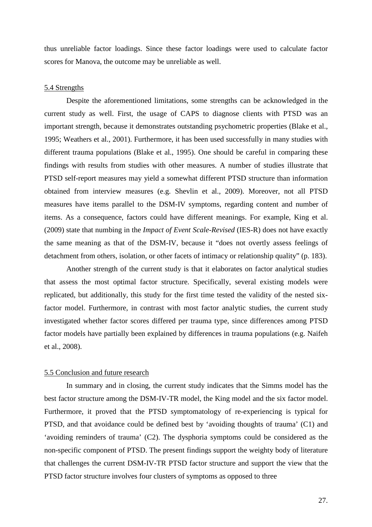thus unreliable factor loadings. Since these factor loadings were used to calculate factor scores for Manova, the outcome may be unreliable as well.

## 5.4 Strengths

Despite the aforementioned limitations, some strengths can be acknowledged in the current study as well. First, the usage of CAPS to diagnose clients with PTSD was an important strength, because it demonstrates outstanding psychometric properties (Blake et al., 1995; Weathers et al., 2001). Furthermore, it has been used successfully in many studies with different trauma populations (Blake et al., 1995). One should be careful in comparing these findings with results from studies with other measures. A number of studies illustrate that PTSD self-report measures may yield a somewhat different PTSD structure than information obtained from interview measures (e.g. Shevlin et al., 2009). Moreover, not all PTSD measures have items parallel to the DSM-IV symptoms, regarding content and number of items. As a consequence, factors could have different meanings. For example, King et al. (2009) state that numbing in the *Impact of Event Scale-Revised* (IES-R) does not have exactly the same meaning as that of the DSM-IV, because it "does not overtly assess feelings of detachment from others, isolation, or other facets of intimacy or relationship quality" (p. 183).

 Another strength of the current study is that it elaborates on factor analytical studies that assess the most optimal factor structure. Specifically, several existing models were replicated, but additionally, this study for the first time tested the validity of the nested sixfactor model. Furthermore, in contrast with most factor analytic studies, the current study investigated whether factor scores differed per trauma type, since differences among PTSD factor models have partially been explained by differences in trauma populations (e.g. Naifeh et al., 2008).

#### 5.5 Conclusion and future research

In summary and in closing, the current study indicates that the Simms model has the best factor structure among the DSM-IV-TR model, the King model and the six factor model. Furthermore, it proved that the PTSD symptomatology of re-experiencing is typical for PTSD, and that avoidance could be defined best by 'avoiding thoughts of trauma' (C1) and 'avoiding reminders of trauma' (C2). The dysphoria symptoms could be considered as the non-specific component of PTSD. The present findings support the weighty body of literature that challenges the current DSM-IV-TR PTSD factor structure and support the view that the PTSD factor structure involves four clusters of symptoms as opposed to three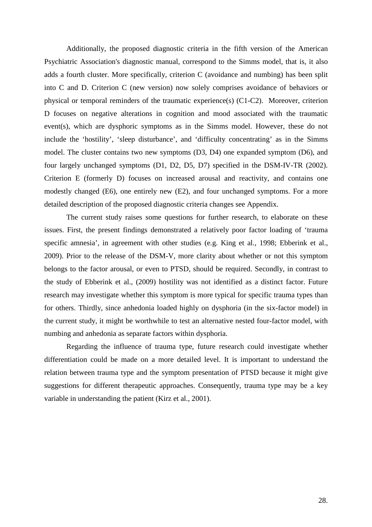Additionally, the proposed diagnostic criteria in the fifth version of the American Psychiatric Association's diagnostic manual, correspond to the Simms model, that is, it also adds a fourth cluster. More specifically, criterion C (avoidance and numbing) has been split into C and D. Criterion C (new version) now solely comprises avoidance of behaviors or physical or temporal reminders of the traumatic experience(s) (C1-C2). Moreover, criterion D focuses on negative alterations in cognition and mood associated with the traumatic event(s), which are dysphoric symptoms as in the Simms model. However, these do not include the 'hostility', 'sleep disturbance', and 'difficulty concentrating' as in the Simms model. The cluster contains two new symptoms (D3, D4) one expanded symptom (D6), and four largely unchanged symptoms (D1, D2, D5, D7) specified in the DSM-IV-TR (2002). Criterion E (formerly D) focuses on increased arousal and reactivity, and contains one modestly changed (E6), one entirely new (E2), and four unchanged symptoms. For a more detailed description of the proposed diagnostic criteria changes see Appendix.

The current study raises some questions for further research, to elaborate on these issues. First, the present findings demonstrated a relatively poor factor loading of 'trauma specific amnesia', in agreement with other studies (e.g. King et al., 1998; Ebberink et al., 2009). Prior to the release of the DSM-V, more clarity about whether or not this symptom belongs to the factor arousal, or even to PTSD, should be required. Secondly, in contrast to the study of Ebberink et al., (2009) hostility was not identified as a distinct factor. Future research may investigate whether this symptom is more typical for specific trauma types than for others. Thirdly, since anhedonia loaded highly on dysphoria (in the six-factor model) in the current study, it might be worthwhile to test an alternative nested four-factor model, with numbing and anhedonia as separate factors within dysphoria.

Regarding the influence of trauma type, future research could investigate whether differentiation could be made on a more detailed level. It is important to understand the relation between trauma type and the symptom presentation of PTSD because it might give suggestions for different therapeutic approaches. Consequently, trauma type may be a key variable in understanding the patient (Kirz et al., 2001).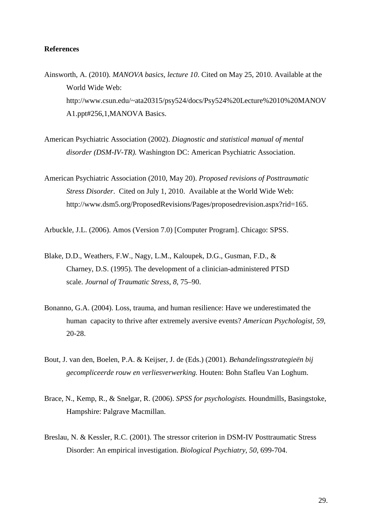## **References**

- Ainsworth, A. (2010). *MANOVA basics, lecture 10*. Cited on May 25, 2010. Available at the World Wide Web: http://www.csun.edu/~ata20315/psy524/docs/Psy524%20Lecture%2010%20MANOV A1.ppt#256,1,MANOVA Basics.
- American Psychiatric Association (2002). *Diagnostic and statistical manual of mental disorder (DSM-IV-TR).* Washington DC: American Psychiatric Association.
- American Psychiatric Association (2010, May 20). *Proposed revisions of Posttraumatic Stress Disorder*. Cited on July 1, 2010. Available at the World Wide Web: http://www.dsm5.org/ProposedRevisions/Pages/proposedrevision.aspx?rid=165.

Arbuckle, J.L. (2006). Amos (Version 7.0) [Computer Program]. Chicago: SPSS.

- Blake, D.D., Weathers, F.W., Nagy, L.M., Kaloupek, D.G., Gusman, F.D., & Charney, D.S. (1995). The development of a clinician-administered PTSD scale. *Journal of Traumatic Stress, 8,* 75–90.
- Bonanno, G.A. (2004). Loss, trauma, and human resilience: Have we underestimated the human capacity to thrive after extremely aversive events? *American Psychologist, 59,*  20-28.
- Bout, J. van den, Boelen, P.A. & Keijser, J. de (Eds.) (2001). *Behandelingsstrategieën bij gecompliceerde rouw en verliesverwerking.* Houten: Bohn Stafleu Van Loghum.
- Brace, N., Kemp, R., & Snelgar, R. (2006). *SPSS for psychologists.* Houndmills, Basingstoke, Hampshire: Palgrave Macmillan.
- Breslau, N. & Kessler, R.C. (2001). The stressor criterion in DSM-IV Posttraumatic Stress Disorder: An empirical investigation. *Biological Psychiatry, 50,* 699-704.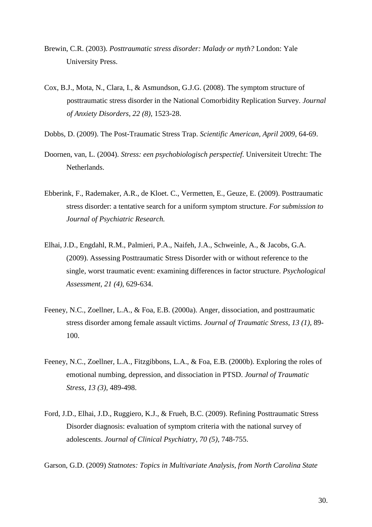- Brewin, C.R. (2003). *Posttraumatic stress disorder: Malady or myth?* London: Yale University Press.
- Cox, B.J., Mota, N., Clara, I., & Asmundson, G.J.G. (2008). The symptom structure of posttraumatic stress disorder in the National Comorbidity Replication Survey. *Journal of Anxiety Disorders, 22 (8),* 1523-28.
- Dobbs, D. (2009). The Post-Traumatic Stress Trap. *Scientific American, April 2009,* 64-69.
- Doornen, van, L. (2004). *Stress: een psychobiologisch perspectief*. Universiteit Utrecht: The Netherlands.
- Ebberink, F., Rademaker, A.R., de Kloet. C., Vermetten, E., Geuze, E. (2009). Posttraumatic stress disorder: a tentative search for a uniform symptom structure. *For submission to Journal of Psychiatric Research.*
- Elhai, J.D., Engdahl, R.M., Palmieri, P.A., Naifeh, J.A., Schweinle, A., & Jacobs, G.A. (2009). Assessing Posttraumatic Stress Disorder with or without reference to the single, worst traumatic event: examining differences in factor structure. *Psychological Assessment, 21 (4),* 629-634.
- Feeney, N.C., Zoellner, L.A., & Foa, E.B. (2000a). Anger, dissociation, and posttraumatic stress disorder among female assault victims. *Journal of Traumatic Stress, 13 (1),* 89- 100.
- Feeney, N.C., Zoellner, L.A., Fitzgibbons, L.A., & Foa, E.B. (2000b). Exploring the roles of emotional numbing, depression, and dissociation in PTSD. *Journal of Traumatic Stress, 13 (3),* 489-498.
- Ford, J.D., Elhai, J.D., Ruggiero, K.J., & Frueh, B.C. (2009). Refining Posttraumatic Stress Disorder diagnosis: evaluation of symptom criteria with the national survey of adolescents. *Journal of Clinical Psychiatry, 70 (5),* 748-755.

Garson, G.D. (2009) *Statnotes: Topics in Multivariate Analysis, from North Carolina State*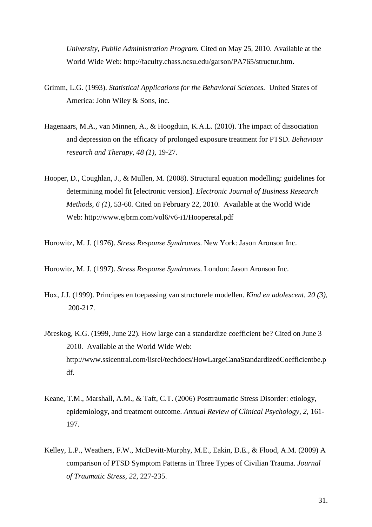*University, Public Administration Program.* Cited on May 25, 2010. Available at the World Wide Web: http://faculty.chass.ncsu.edu/garson/PA765/structur.htm.

- Grimm, L.G. (1993). *Statistical Applications for the Behavioral Sciences.* United States of America: John Wiley & Sons, inc.
- Hagenaars, M.A., van Minnen, A., & Hoogduin, K.A.L. (2010). The impact of dissociation and depression on the efficacy of prolonged exposure treatment for PTSD. *Behaviour research and Therapy, 48 (1),* 19-27.
- Hooper, D., Coughlan, J., & Mullen, M. (2008). Structural equation modelling: guidelines for determining model fit [electronic version]. *Electronic Journal of Business Research Methods, 6 (1),* 53-60*.* Cited on February 22, 2010. Available at the World Wide Web: http://www.ejbrm.com/vol6/v6-i1/Hooperetal.pdf

Horowitz, M. J. (1976). *Stress Response Syndromes*. New York: Jason Aronson Inc.

Horowitz, M. J. (1997). *Stress Response Syndromes*. London: Jason Aronson Inc.

- Hox, J.J. (1999). Principes en toepassing van structurele modellen. *Kind en adolescent, 20 (3),*  200-217.
- Jöreskog, K.G. (1999, June 22). How large can a standardize coefficient be? Cited on June 3 2010. Available at the World Wide Web: http://www.ssicentral.com/lisrel/techdocs/HowLargeCanaStandardizedCoefficientbe.p df.
- Keane, T.M., Marshall, A.M., & Taft, C.T. (2006) Posttraumatic Stress Disorder: etiology, epidemiology, and treatment outcome. *Annual Review of Clinical Psychology, 2,* 161- 197.
- Kelley, L.P., Weathers, F.W., McDevitt-Murphy, M.E., Eakin, D.E., & Flood, A.M. (2009) A comparison of PTSD Symptom Patterns in Three Types of Civilian Trauma. *Journal of Traumatic Stress, 22,* 227-235.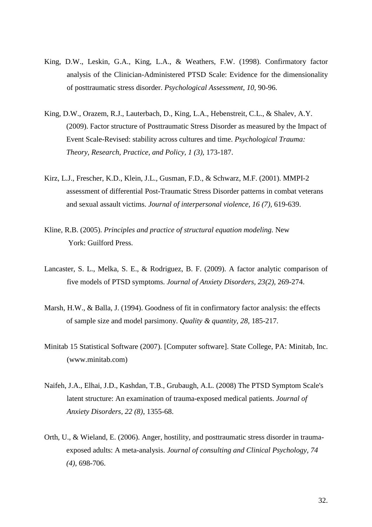- King, D.W., Leskin, G.A., King, L.A., & Weathers, F.W. (1998). Confirmatory factor analysis of the Clinician-Administered PTSD Scale: Evidence for the dimensionality of posttraumatic stress disorder. *Psychological Assessment, 10,* 90-96.
- King, D.W., Orazem, R.J., Lauterbach, D., King, L.A., Hebenstreit, C.L., & Shalev, A.Y. (2009). Factor structure of Posttraumatic Stress Disorder as measured by the Impact of Event Scale-Revised: stability across cultures and time. *Psychological Trauma: Theory, Research, Practice, and Policy, 1 (3),* 173-187.
- Kirz, L.J., Frescher, K.D., Klein, J.L., Gusman, F.D., & Schwarz, M.F. (2001). MMPI-2 assessment of differential Post-Traumatic Stress Disorder patterns in combat veterans and sexual assault victims. *Journal of interpersonal violence, 16 (7),* 619-639.
- Kline, R.B. (2005). *Principles and practice of structural equation modeling.* New York: Guilford Press.
- Lancaster, S. L., Melka, S. E., & Rodriguez, B. F. (2009). A factor analytic comparison of five models of PTSD symptoms. *Journal of Anxiety Disorders, 23(2),* 269-274.
- Marsh, H.W., & Balla, J. (1994). Goodness of fit in confirmatory factor analysis: the effects of sample size and model parsimony. *Quality & quantity, 28,* 185-217.
- Minitab 15 Statistical Software (2007). [Computer software]. State College, PA: Minitab, Inc. (www.minitab.com)
- Naifeh, J.A., Elhai, J.D., Kashdan, T.B., Grubaugh, A.L. (2008) The PTSD Symptom Scale's latent structure: An examination of trauma-exposed medical patients. *Journal of Anxiety Disorders, 22 (8)*, 1355-68.
- Orth, U., & Wieland, E. (2006). Anger, hostility, and posttraumatic stress disorder in traumaexposed adults: A meta-analysis. *Journal of consulting and Clinical Psychology, 74 (4),* 698-706.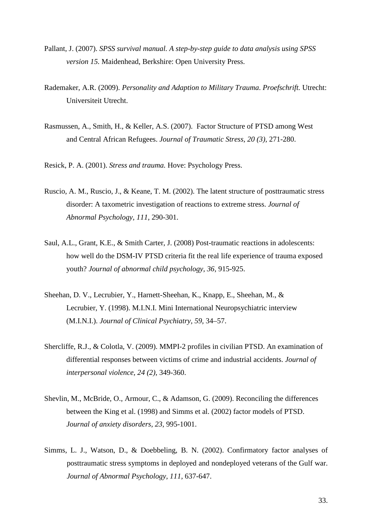- Pallant, J. (2007). *SPSS survival manual. A step-by-step guide to data analysis using SPSS version 15.* Maidenhead, Berkshire: Open University Press.
- Rademaker, A.R. (2009). *Personality and Adaption to Military Trauma*. *Proefschrift.* Utrecht: Universiteit Utrecht.
- Rasmussen, A., Smith, H., & Keller, A.S. (2007). Factor Structure of PTSD among West and Central African Refugees. *Journal of Traumatic Stress, 20 (3),* 271-280.
- Resick, P. A. (2001). *Stress and trauma.* Hove: Psychology Press.
- Ruscio, A. M., Ruscio, J., & Keane, T. M. (2002). The latent structure of posttraumatic stress disorder: A taxometric investigation of reactions to extreme stress. *Journal of Abnormal Psychology, 111,* 290-301.
- Saul, A.L., Grant, K.E., & Smith Carter, J. (2008) Post-traumatic reactions in adolescents: how well do the DSM-IV PTSD criteria fit the real life experience of trauma exposed youth? *Journal of abnormal child psychology, 36,* 915-925.
- Sheehan, D. V., Lecrubier, Y., Harnett-Sheehan, K., Knapp, E., Sheehan, M., & Lecrubier, Y. (1998). M.I.N.I. Mini International Neuropsychiatric interview (M.I.N.I.). *Journal of Clinical Psychiatry, 59,* 34–57.
- Shercliffe, R.J., & Colotla, V. (2009). MMPI-2 profiles in civilian PTSD. An examination of differential responses between victims of crime and industrial accidents. *Journal of interpersonal violence, 24 (2),* 349-360.
- Shevlin, M., McBride, O., Armour, C., & Adamson, G. (2009). Reconciling the differences between the King et al. (1998) and Simms et al. (2002) factor models of PTSD. *Journal of anxiety disorders, 23,* 995-1001.
- Simms, L. J., Watson, D., & Doebbeling, B. N. (2002). Confirmatory factor analyses of posttraumatic stress symptoms in deployed and nondeployed veterans of the Gulf war. *Journal of Abnormal Psychology, 111,* 637-647.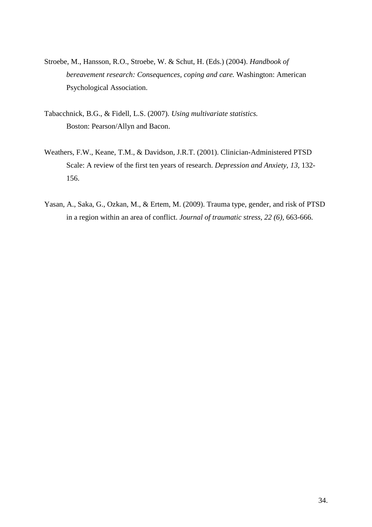- Stroebe, M., Hansson, R.O., Stroebe, W. & Schut, H. (Eds.) (2004). *Handbook of bereavement research: Consequences, coping and care.* Washington: American Psychological Association.
- Tabacchnick, B.G., & Fidell, L.S. (2007). *Using multivariate statistics.*  Boston: Pearson/Allyn and Bacon.
- Weathers, F.W., Keane, T.M., & Davidson, J.R.T. (2001). Clinician-Administered PTSD Scale: A review of the first ten years of research. *Depression and Anxiety, 13,* 132- 156.
- Yasan, A., Saka, G., Ozkan, M., & Ertem, M. (2009). Trauma type, gender, and risk of PTSD in a region within an area of conflict. *Journal of traumatic stress, 22 (6),* 663-666.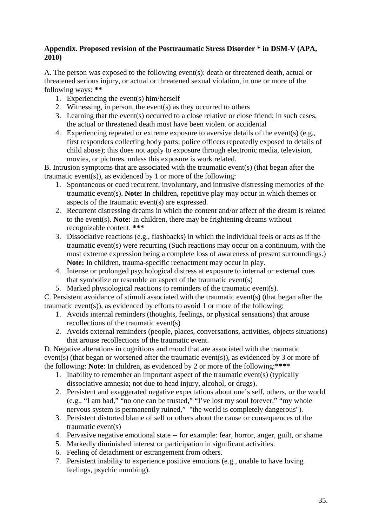## **Appendix. Proposed revision of the Posttraumatic Stress Disorder \* in DSM-V (APA, 2010)**

A. The person was exposed to the following event(s): death or threatened death, actual or threatened serious injury, or actual or threatened sexual violation, in one or more of the following ways: **\*\***

- 1. Experiencing the event(s) him/herself
- 2. Witnessing, in person, the event(s) as they occurred to others
- 3. Learning that the event(s) occurred to a close relative or close friend; in such cases, the actual or threatened death must have been violent or accidental
- 4. Experiencing repeated or extreme exposure to aversive details of the event(s) (e.g., first responders collecting body parts; police officers repeatedly exposed to details of child abuse); this does not apply to exposure through electronic media, television, movies, or pictures, unless this exposure is work related.

B. Intrusion symptoms that are associated with the traumatic event(s) (that began after the traumatic event(s)), as evidenced by 1 or more of the following:

- 1. Spontaneous or cued recurrent, involuntary, and intrusive distressing memories of the traumatic event(s). **Note:** In children, repetitive play may occur in which themes or aspects of the traumatic event(s) are expressed.
- 2. Recurrent distressing dreams in which the content and/or affect of the dream is related to the event(s). **Note:** In children, there may be frightening dreams without recognizable content. **\*\*\***
- 3. Dissociative reactions (e.g., flashbacks) in which the individual feels or acts as if the traumatic event(s) were recurring (Such reactions may occur on a continuum, with the most extreme expression being a complete loss of awareness of present surroundings.) **Note:** In children, trauma-specific reenactment may occur in play.
- 4. Intense or prolonged psychological distress at exposure to internal or external cues that symbolize or resemble an aspect of the traumatic event(s)
- 5. Marked physiological reactions to reminders of the traumatic event(s).

C. Persistent avoidance of stimuli associated with the traumatic event(s) (that began after the traumatic event(s)), as evidenced by efforts to avoid 1 or more of the following:

- 1. Avoids internal reminders (thoughts, feelings, or physical sensations) that arouse recollections of the traumatic event(s)
- 2. Avoids external reminders (people, places, conversations, activities, objects situations) that arouse recollections of the traumatic event.

D. Negative alterations in cognitions and mood that are associated with the traumatic event(s) (that began or worsened after the traumatic event(s)), as evidenced by 3 or more of the following: **Note**: In children, as evidenced by 2 or more of the following:**\*\*\*\*** 

- 1. Inability to remember an important aspect of the traumatic event(s) (typically dissociative amnesia; not due to head injury, alcohol, or drugs).
- 2. Persistent and exaggerated negative expectations about one's self, others, or the world (e.g., "I am bad," "no one can be trusted," "I've lost my soul forever," "my whole nervous system is permanently ruined," "the world is completely dangerous").
- 3. Persistent distorted blame of self or others about the cause or consequences of the traumatic event(s)
- 4. Pervasive negative emotional state -- for example: fear, horror, anger, guilt, or shame
- 5. Markedly diminished interest or participation in significant activities.
- 6. Feeling of detachment or estrangement from others.
- 7. Persistent inability to experience positive emotions (e.g., unable to have loving feelings, psychic numbing).